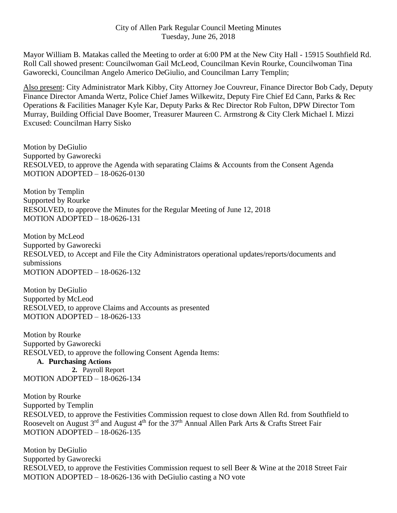Mayor William B. Matakas called the Meeting to order at 6:00 PM at the New City Hall - 15915 Southfield Rd. Roll Call showed present: Councilwoman Gail McLeod, Councilman Kevin Rourke, Councilwoman Tina Gaworecki, Councilman Angelo Americo DeGiulio, and Councilman Larry Templin;

Also present: City Administrator Mark Kibby, City Attorney Joe Couvreur, Finance Director Bob Cady, Deputy Finance Director Amanda Wertz, Police Chief James Wilkewitz, Deputy Fire Chief Ed Cann, Parks & Rec Operations & Facilities Manager Kyle Kar, Deputy Parks & Rec Director Rob Fulton, DPW Director Tom Murray, Building Official Dave Boomer, Treasurer Maureen C. Armstrong & City Clerk Michael I. Mizzi Excused: Councilman Harry Sisko

Motion by DeGiulio Supported by Gaworecki RESOLVED, to approve the Agenda with separating Claims & Accounts from the Consent Agenda MOTION ADOPTED – 18-0626-0130

Motion by Templin Supported by Rourke RESOLVED, to approve the Minutes for the Regular Meeting of June 12, 2018 MOTION ADOPTED – 18-0626-131

Motion by McLeod Supported by Gaworecki RESOLVED, to Accept and File the City Administrators operational updates/reports/documents and submissions MOTION ADOPTED – 18-0626-132

Motion by DeGiulio Supported by McLeod RESOLVED, to approve Claims and Accounts as presented MOTION ADOPTED – 18-0626-133

Motion by Rourke Supported by Gaworecki RESOLVED, to approve the following Consent Agenda Items:

**A. Purchasing Actions 2.** Payroll Report MOTION ADOPTED – 18-0626-134

Motion by Rourke Supported by Templin RESOLVED, to approve the Festivities Commission request to close down Allen Rd. from Southfield to Roosevelt on August 3<sup>rd</sup> and August 4<sup>th</sup> for the 37<sup>th</sup> Annual Allen Park Arts & Crafts Street Fair MOTION ADOPTED – 18-0626-135

Motion by DeGiulio Supported by Gaworecki RESOLVED, to approve the Festivities Commission request to sell Beer & Wine at the 2018 Street Fair MOTION ADOPTED – 18-0626-136 with DeGiulio casting a NO vote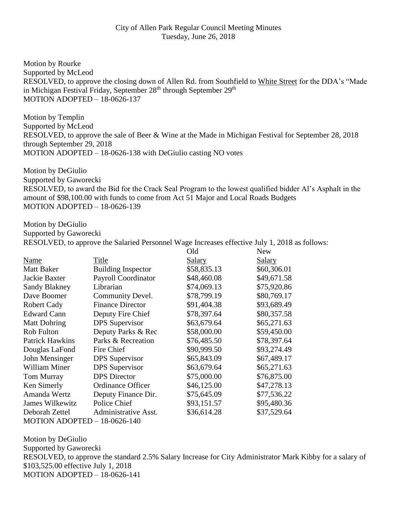Motion by Rourke Supported by McLeod RESOLVED, to approve the closing down of Allen Rd. from Southfield to White Street for the DDA's "Made in Michigan Festival Friday, September 28<sup>th</sup> through September 29<sup>th</sup> MOTION ADOPTED – 18-0626-137

Motion by Templin Supported by McLeod RESOLVED, to approve the sale of Beer & Wine at the Made in Michigan Festival for September 28, 2018 through September 29, 2018 MOTION ADOPTED – 18-0626-138 with DeGiulio casting NO votes

Motion by DeGiulio Supported by Gaworecki RESOLVED, to award the Bid for the Crack Seal Program to the lowest qualified bidder Al's Asphalt in the amount of \$98,100.00 with funds to come from Act 51 Major and Local Roads Budgets MOTION ADOPTED – 18-0626-139

Motion by DeGiulio Supported by Gaworecki RESOLVED, to approve the Salaried Personnel Wage Increases effective July 1, 2018 as follows:

|                              |                           | Old           | <b>New</b>    |  |  |  |  |
|------------------------------|---------------------------|---------------|---------------|--|--|--|--|
| Name                         | Title                     | <b>Salary</b> | <b>Salary</b> |  |  |  |  |
| <b>Matt Baker</b>            | <b>Building Inspector</b> | \$58,835.13   | \$60,306.01   |  |  |  |  |
| Jackie Baxter                | Payroll Coordinator       | \$48,460.08   | \$49,671.58   |  |  |  |  |
| Sandy Blakney                | Librarian                 | \$74,069.13   | \$75,920.86   |  |  |  |  |
| Dave Boomer                  | Community Devel.          | \$78,799.19   | \$80,769.17   |  |  |  |  |
| <b>Robert Cady</b>           | <b>Finance Director</b>   | \$91,404.38   | \$93,689.49   |  |  |  |  |
| <b>Edward Cann</b>           | Deputy Fire Chief         | \$78,397.64   | \$80,357.58   |  |  |  |  |
| <b>Matt Dohring</b>          | <b>DPS</b> Supervisor     | \$63,679.64   | \$65,271.63   |  |  |  |  |
| Rob Fulton                   | Deputy Parks & Rec        | \$58,000.00   | \$59,450.00   |  |  |  |  |
| <b>Patrick Hawkins</b>       | Parks & Recreation        | \$76,485.50   | \$78,397.64   |  |  |  |  |
| Douglas LaFond               | Fire Chief                | \$90,999.50   | \$93,274.49   |  |  |  |  |
| John Mensinger               | <b>DPS</b> Supervisor     | \$65,843.09   | \$67,489.17   |  |  |  |  |
| <b>William Miner</b>         | <b>DPS</b> Supervisor     | \$63,679.64   | \$65,271.63   |  |  |  |  |
| <b>Tom Murray</b>            | <b>DPS</b> Director       | \$75,000.00   | \$76,875.00   |  |  |  |  |
| Ken Simerly                  | <b>Ordinance Officer</b>  | \$46,125.00   | \$47,278.13   |  |  |  |  |
| Amanda Wertz                 | Deputy Finance Dir.       | \$75,645.09   | \$77,536.22   |  |  |  |  |
| <b>James Wilkewitz</b>       | Police Chief              | \$93,151.57   | \$95,480.36   |  |  |  |  |
| Deborah Zettel               | Administrative Asst.      | \$36,614.28   | \$37,529.64   |  |  |  |  |
| MOTION ADOPTED - 18-0626-140 |                           |               |               |  |  |  |  |

Motion by DeGiulio Supported by Gaworecki RESOLVED, to approve the standard 2.5% Salary Increase for City Administrator Mark Kibby for a salary of \$103,525.00 effective July 1, 2018 MOTION ADOPTED – 18-0626-141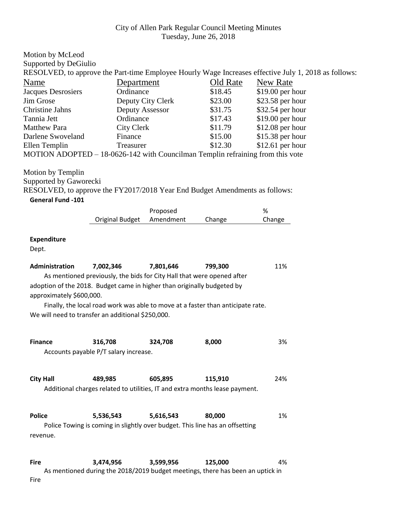| Motion by McLeod                                                               |                                                                                             |                   |                    |                                                                                                      |  |
|--------------------------------------------------------------------------------|---------------------------------------------------------------------------------------------|-------------------|--------------------|------------------------------------------------------------------------------------------------------|--|
| Supported by DeGiulio                                                          |                                                                                             |                   |                    |                                                                                                      |  |
|                                                                                |                                                                                             |                   |                    | RESOLVED, to approve the Part-time Employee Hourly Wage Increases effective July 1, 2018 as follows: |  |
| Name                                                                           | Department                                                                                  | Old Rate          |                    | New Rate                                                                                             |  |
| Jacques Desrosiers                                                             | Ordinance                                                                                   |                   | \$18.45            | \$19.00 per hour                                                                                     |  |
| Jim Grose                                                                      |                                                                                             | Deputy City Clerk | \$23.00            | \$23.58 per hour                                                                                     |  |
| <b>Christine Jahns</b>                                                         | Deputy Assessor                                                                             |                   | \$31.75            | \$32.54 per hour                                                                                     |  |
| Tannia Jett                                                                    |                                                                                             | Ordinance         |                    | \$19.00 per hour                                                                                     |  |
| <b>Matthew Para</b>                                                            |                                                                                             | <b>City Clerk</b> |                    | \$12.08 per hour                                                                                     |  |
| Darlene Swoveland                                                              | Finance                                                                                     |                   |                    | \$15.38 per hour                                                                                     |  |
| Ellen Templin                                                                  | Treasurer                                                                                   |                   | \$15.00<br>\$12.30 | \$12.61 per hour                                                                                     |  |
| MOTION ADOPTED – 18-0626-142 with Councilman Templin refraining from this vote |                                                                                             |                   |                    |                                                                                                      |  |
| Motion by Templin                                                              |                                                                                             |                   |                    |                                                                                                      |  |
| Supported by Gaworecki                                                         |                                                                                             |                   |                    |                                                                                                      |  |
| RESOLVED, to approve the FY2017/2018 Year End Budget Amendments as follows:    |                                                                                             |                   |                    |                                                                                                      |  |
| <b>General Fund -101</b>                                                       |                                                                                             |                   |                    |                                                                                                      |  |
|                                                                                |                                                                                             | Proposed          |                    | $\%$                                                                                                 |  |
|                                                                                | <b>Original Budget</b>                                                                      | Amendment         | Change             | Change                                                                                               |  |
|                                                                                |                                                                                             |                   |                    |                                                                                                      |  |
| <b>Expenditure</b>                                                             |                                                                                             |                   |                    |                                                                                                      |  |
| Dept.                                                                          |                                                                                             |                   |                    |                                                                                                      |  |
| Administration                                                                 | 7,002,346                                                                                   | 7,801,646         | 799,300            | 11%                                                                                                  |  |
|                                                                                | As mentioned previously, the bids for City Hall that were opened after                      |                   |                    |                                                                                                      |  |
| adoption of the 2018. Budget came in higher than originally budgeted by        |                                                                                             |                   |                    |                                                                                                      |  |
| approximately \$600,000.                                                       |                                                                                             |                   |                    |                                                                                                      |  |
|                                                                                |                                                                                             |                   |                    |                                                                                                      |  |
|                                                                                | Finally, the local road work was able to move at a faster than anticipate rate.             |                   |                    |                                                                                                      |  |
| We will need to transfer an additional \$250,000.                              |                                                                                             |                   |                    |                                                                                                      |  |
|                                                                                |                                                                                             |                   |                    |                                                                                                      |  |
| <b>Finance</b>                                                                 | 316,708                                                                                     | 324,708           | 8,000              | 3%                                                                                                   |  |
|                                                                                | Accounts payable P/T salary increase.                                                       |                   |                    |                                                                                                      |  |
|                                                                                |                                                                                             |                   |                    |                                                                                                      |  |
| <b>City Hall</b>                                                               | 489,985                                                                                     | 605,895           | 115,910            | 24%                                                                                                  |  |
|                                                                                | Additional charges related to utilities, IT and extra months lease payment.                 |                   |                    |                                                                                                      |  |
| <b>Police</b>                                                                  | 5,536,543                                                                                   | 5,616,543         | 80,000             | 1%                                                                                                   |  |
|                                                                                |                                                                                             |                   |                    |                                                                                                      |  |
|                                                                                | Police Towing is coming in slightly over budget. This line has an offsetting                |                   |                    |                                                                                                      |  |
| revenue.                                                                       |                                                                                             |                   |                    |                                                                                                      |  |
|                                                                                |                                                                                             |                   |                    |                                                                                                      |  |
| <b>Fire</b>                                                                    | 3,474,956<br>As mentioned during the 2018/2019 budget meetings, there has been an uptick in | 3,599,956         | 125,000            | 4%                                                                                                   |  |
| Fire                                                                           |                                                                                             |                   |                    |                                                                                                      |  |
|                                                                                |                                                                                             |                   |                    |                                                                                                      |  |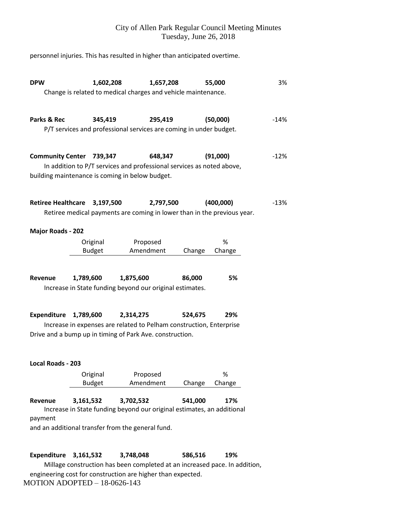personnel injuries. This has resulted in higher than anticipated overtime.

| <b>DPW</b>                                                                                                                                                                                        | 1,602,208<br>Change is related to medical charges and vehicle maintenance.          |                       | 1,657,208 |         | 55,000                                                                               | 3%     |  |
|---------------------------------------------------------------------------------------------------------------------------------------------------------------------------------------------------|-------------------------------------------------------------------------------------|-----------------------|-----------|---------|--------------------------------------------------------------------------------------|--------|--|
| Parks & Rec                                                                                                                                                                                       | 345,419<br>P/T services and professional services are coming in under budget.       |                       | 295,419   |         | (50,000)                                                                             | $-14%$ |  |
| <b>Community Center 739,347</b><br>building maintenance is coming in below budget.                                                                                                                | In addition to P/T services and professional services as noted above,               |                       | 648,347   |         | (91,000)                                                                             | $-12%$ |  |
| Retiree Healthcare 3,197,500                                                                                                                                                                      |                                                                                     |                       | 2,797,500 |         | (400,000)<br>Retiree medical payments are coming in lower than in the previous year. | $-13%$ |  |
| <b>Major Roads - 202</b>                                                                                                                                                                          |                                                                                     |                       |           |         |                                                                                      |        |  |
|                                                                                                                                                                                                   | Original<br><b>Budget</b>                                                           | Proposed<br>Amendment |           | Change  | %<br>Change                                                                          |        |  |
| Revenue                                                                                                                                                                                           | 1,789,600<br>Increase in State funding beyond our original estimates.               | 1,875,600             |           | 86,000  | 5%                                                                                   |        |  |
| <b>Expenditure</b><br>1,789,600<br>2,314,275<br>524,675<br>29%<br>Increase in expenses are related to Pelham construction, Enterprise<br>Drive and a bump up in timing of Park Ave. construction. |                                                                                     |                       |           |         |                                                                                      |        |  |
| Local Roads - 203                                                                                                                                                                                 |                                                                                     |                       |           |         |                                                                                      |        |  |
|                                                                                                                                                                                                   | Original<br><b>Budget</b>                                                           | Proposed<br>Amendment |           | Change  | %<br>Change                                                                          |        |  |
| Revenue<br>payment<br>and an additional transfer from the general fund.                                                                                                                           | 3,161,532<br>Increase in State funding beyond our original estimates, an additional | 3,702,532             |           | 541,000 | 17%                                                                                  |        |  |
| <b>Expenditure</b>                                                                                                                                                                                | 3,161,532                                                                           | 3,748,048             |           | 586,516 | 19%                                                                                  |        |  |

Millage construction has been completed at an increased pace. In addition, engineering cost for construction are higher than expected. MOTION ADOPTED – 18-0626-143